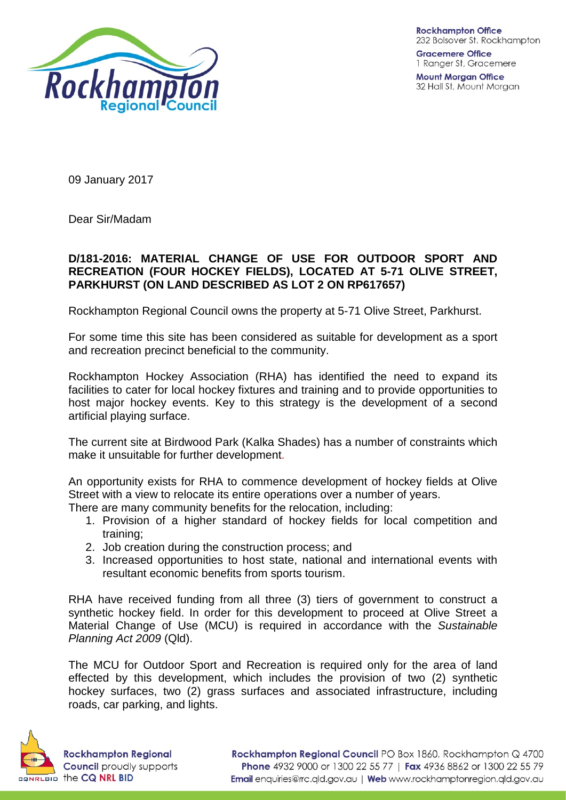

**Gracemere Office** 1 Ranger St, Gracemere

**Mount Morgan Office** 32 Hall St, Mount Morgan

09 January 2017

Dear Sir/Madam

## **D/181-2016: MATERIAL CHANGE OF USE FOR OUTDOOR SPORT AND RECREATION (FOUR HOCKEY FIELDS), LOCATED AT 5-71 OLIVE STREET, PARKHURST (ON LAND DESCRIBED AS LOT 2 ON RP617657)**

Rockhampton Regional Council owns the property at 5-71 Olive Street, Parkhurst.

For some time this site has been considered as suitable for development as a sport and recreation precinct beneficial to the community.

Rockhampton Hockey Association (RHA) has identified the need to expand its facilities to cater for local hockey fixtures and training and to provide opportunities to host major hockey events. Key to this strategy is the development of a second artificial playing surface.

The current site at Birdwood Park (Kalka Shades) has a number of constraints which make it unsuitable for further development.

An opportunity exists for RHA to commence development of hockey fields at Olive Street with a view to relocate its entire operations over a number of years.

There are many community benefits for the relocation, including:

- 1. Provision of a higher standard of hockey fields for local competition and training;
- 2. Job creation during the construction process; and
- 3. Increased opportunities to host state, national and international events with resultant economic benefits from sports tourism.

RHA have received funding from all three (3) tiers of government to construct a synthetic hockey field. In order for this development to proceed at Olive Street a Material Change of Use (MCU) is required in accordance with the *Sustainable Planning Act 2009* (Qld).

The MCU for Outdoor Sport and Recreation is required only for the area of land effected by this development, which includes the provision of two (2) synthetic hockey surfaces, two (2) grass surfaces and associated infrastructure, including roads, car parking, and lights.

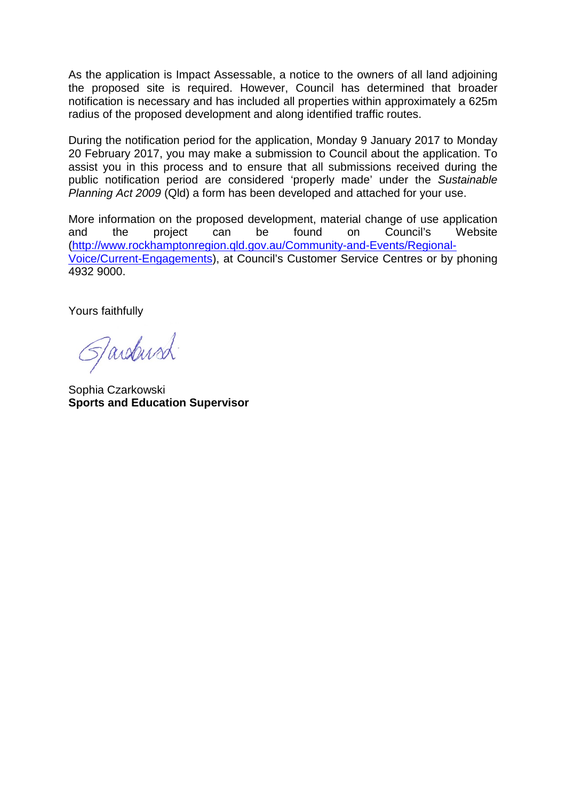As the application is Impact Assessable, a notice to the owners of all land adjoining the proposed site is required. However, Council has determined that broader notification is necessary and has included all properties within approximately a 625m radius of the proposed development and along identified traffic routes.

During the notification period for the application, Monday 9 January 2017 to Monday 20 February 2017, you may make a submission to Council about the application. To assist you in this process and to ensure that all submissions received during the public notification period are considered 'properly made' under the *Sustainable Planning Act 2009* (Qld) a form has been developed and attached for your use.

More information on the proposed development, material change of use application and the project can be found on Council's Website [\(http://www.rockhamptonregion.qld.gov.au/Community-and-Events/Regional-](http://www.rockhamptonregion.qld.gov.au/Community-and-Events/Regional-Voice/Current-Engagements)[Voice/Current-Engagements\)](http://www.rockhamptonregion.qld.gov.au/Community-and-Events/Regional-Voice/Current-Engagements), at Council's Customer Service Centres or by phoning 4932 9000.

Yours faithfully

Jardust

Sophia Czarkowski **Sports and Education Supervisor**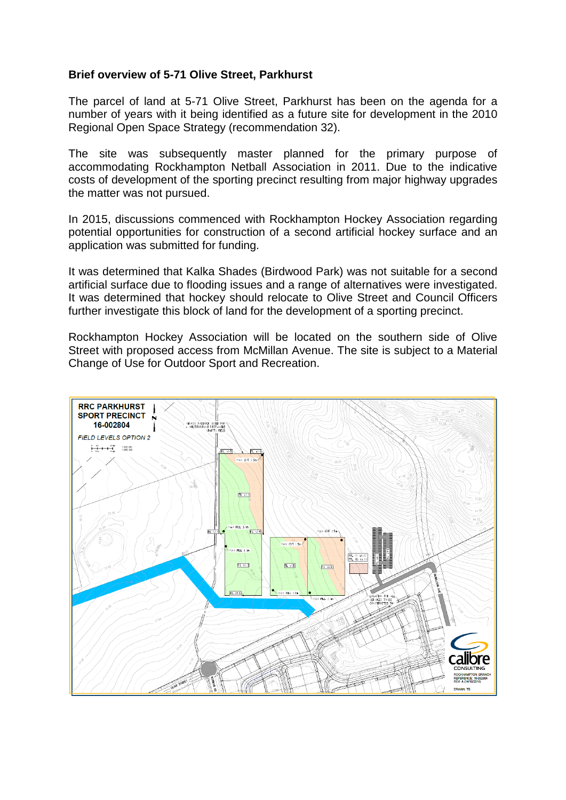## **Brief overview of 5-71 Olive Street, Parkhurst**

The parcel of land at 5-71 Olive Street, Parkhurst has been on the agenda for a number of years with it being identified as a future site for development in the 2010 Regional Open Space Strategy (recommendation 32).

The site was subsequently master planned for the primary purpose of accommodating Rockhampton Netball Association in 2011. Due to the indicative costs of development of the sporting precinct resulting from major highway upgrades the matter was not pursued.

In 2015, discussions commenced with Rockhampton Hockey Association regarding potential opportunities for construction of a second artificial hockey surface and an application was submitted for funding.

It was determined that Kalka Shades (Birdwood Park) was not suitable for a second artificial surface due to flooding issues and a range of alternatives were investigated. It was determined that hockey should relocate to Olive Street and Council Officers further investigate this block of land for the development of a sporting precinct.

Rockhampton Hockey Association will be located on the southern side of Olive Street with proposed access from McMillan Avenue. The site is subject to a Material Change of Use for Outdoor Sport and Recreation.

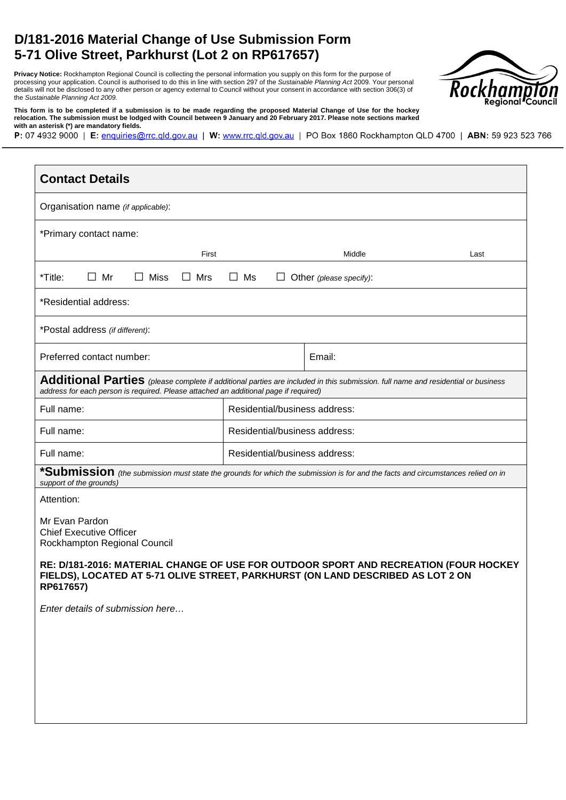## **D/181-2016 Material Change of Use Submission Form 5-71 Olive Street, Parkhurst (Lot 2 on RP617657)**

**Privacy Notice:** Rockhampton Regional Council is collecting the personal information you supply on this form for the purpose of processing your application. Council is authorised to do this in line with section 297 of the *Sustainable Planning Act* 2009. Your personal details will not be disclosed to any other person or agency external to Council without your consent in accordance with section 306(3) of the *Sustainable Planning Act 2009.* 



**This form is to be completed if a submission is to be made regarding the proposed Material Change of Use for the hockey relocation. The submission must be lodged with Council between 9 January and 20 February 2017. Please note sections marked with an asterisk (\*) are mandatory fields.** 

P: 07 4932 9000 | E: enquiries@rrc.qld.gov.au | W: www.rrc.qld.gov.au | PO Box 1860 Rockhampton QLD 4700 | ABN: 59 923 523 766

| <b>Contact Details</b>                                                                                                                                                                                                   |                               |                         |      |  |
|--------------------------------------------------------------------------------------------------------------------------------------------------------------------------------------------------------------------------|-------------------------------|-------------------------|------|--|
| Organisation name (if applicable):                                                                                                                                                                                       |                               |                         |      |  |
| *Primary contact name:                                                                                                                                                                                                   |                               |                         |      |  |
| First                                                                                                                                                                                                                    |                               | Middle                  | Last |  |
| $\Box$ Mr<br>$\Box$ Miss<br>*Title:<br>$\Box$ Mrs                                                                                                                                                                        | $\Box$ Ms<br>$\Box$           | Other (please specify): |      |  |
| *Residential address:                                                                                                                                                                                                    |                               |                         |      |  |
| *Postal address (if different):                                                                                                                                                                                          |                               |                         |      |  |
| Preferred contact number:                                                                                                                                                                                                |                               | Email:                  |      |  |
| Additional Parties (please complete if additional parties are included in this submission. full name and residential or business<br>address for each person is required. Please attached an additional page if required) |                               |                         |      |  |
| Full name:                                                                                                                                                                                                               | Residential/business address: |                         |      |  |
| Full name:                                                                                                                                                                                                               | Residential/business address: |                         |      |  |
| Full name:                                                                                                                                                                                                               | Residential/business address: |                         |      |  |
| *Submission (the submission must state the grounds for which the submission is for and the facts and circumstances relied on in<br>support of the grounds)                                                               |                               |                         |      |  |
| Attention:                                                                                                                                                                                                               |                               |                         |      |  |
| Mr Evan Pardon<br><b>Chief Executive Officer</b><br>Rockhampton Regional Council                                                                                                                                         |                               |                         |      |  |
| RE: D/181-2016: MATERIAL CHANGE OF USE FOR OUTDOOR SPORT AND RECREATION (FOUR HOCKEY<br>FIELDS), LOCATED AT 5-71 OLIVE STREET, PARKHURST (ON LAND DESCRIBED AS LOT 2 ON<br>RP617657)                                     |                               |                         |      |  |
| Enter details of submission here                                                                                                                                                                                         |                               |                         |      |  |
|                                                                                                                                                                                                                          |                               |                         |      |  |
|                                                                                                                                                                                                                          |                               |                         |      |  |
|                                                                                                                                                                                                                          |                               |                         |      |  |
|                                                                                                                                                                                                                          |                               |                         |      |  |
|                                                                                                                                                                                                                          |                               |                         |      |  |